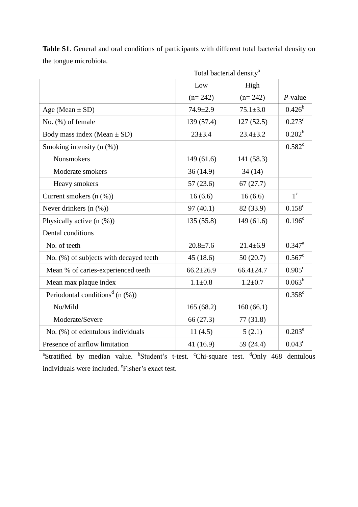|                                                 | Total bacterial density <sup>a</sup> |                 |                      |
|-------------------------------------------------|--------------------------------------|-----------------|----------------------|
|                                                 | Low                                  | High            |                      |
|                                                 | $(n=242)$                            | $(n=242)$       | $P$ -value           |
| Age (Mean $\pm$ SD)                             | $74.9 \pm 2.9$                       | $75.1 \pm 3.0$  | $0.426^{b}$          |
| No. (%) of female                               | 139 (57.4)                           | 127(52.5)       | $0.273$ <sup>c</sup> |
| Body mass index (Mean $\pm$ SD)                 | $23 + 3.4$                           | $23.4 \pm 3.2$  | $0.202^b$            |
| Smoking intensity $(n \, (\%)$                  |                                      |                 | $0.582^c$            |
| <b>Nonsmokers</b>                               | 149(61.6)                            | 141 (58.3)      |                      |
| Moderate smokers                                | 36(14.9)                             | 34(14)          |                      |
| Heavy smokers                                   | 57(23.6)                             | 67(27.7)        |                      |
| Current smokers $(n \, (\%)$                    | 16(6.6)                              | 16(6.6)         | $1^{\circ}$          |
| Never drinkers $(n \ (\%))$                     | 97(40.1)                             | 82 (33.9)       | $0.158^{\circ}$      |
| Physically active $(n \ (\%))$                  | 135 (55.8)                           | 149 (61.6)      | $0.196^c$            |
| Dental conditions                               |                                      |                 |                      |
| No. of teeth                                    | $20.8 \pm 7.6$                       | $21.4 \pm 6.9$  | $0.347^{\rm a}$      |
| No. (%) of subjects with decayed teeth          | 45(18.6)                             | 50(20.7)        | $0.567^c$            |
| Mean % of caries-experienced teeth              | $66.2 \pm 26.9$                      | $66.4 \pm 24.7$ | $0.905^{\circ}$      |
| Mean max plaque index                           | $1.1 \pm 0.8$                        | $1.2 \pm 0.7$   | $0.063^b$            |
| Periodontal conditions <sup>d</sup> (n $(\%)$ ) |                                      |                 | $0.358^{\circ}$      |
| No/Mild                                         | 165(68.2)                            | 160(66.1)       |                      |
| Moderate/Severe                                 | 66 (27.3)                            | 77(31.8)        |                      |
| No. (%) of edentulous individuals               | 11(4.5)                              | 5(2.1)          | $0.203^e$            |
| Presence of airflow limitation                  | 41 (16.9)                            | 59 (24.4)       | $0.043^{\circ}$      |

**Table S1**. General and oral conditions of participants with different total bacterial density on the tongue microbiota.

<sup>a</sup>Stratified by median value. <sup>b</sup>Student's t-test. <sup>c</sup>Chi-square test. <sup>d</sup>Only 468 dentulous individuals were included. <sup>e</sup>Fisher's exact test.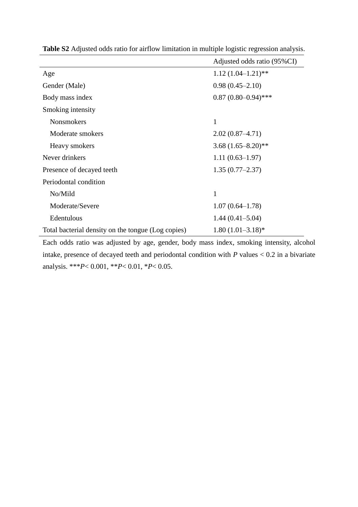|                                                    | Adjusted odds ratio (95%CI) |
|----------------------------------------------------|-----------------------------|
| Age                                                | $1.12(1.04-1.21)$ **        |
| Gender (Male)                                      | $0.98(0.45 - 2.10)$         |
| Body mass index                                    | $0.87(0.80-0.94)$ ***       |
| Smoking intensity                                  |                             |
| <b>Nonsmokers</b>                                  | 1                           |
| Moderate smokers                                   | $2.02(0.87 - 4.71)$         |
| Heavy smokers                                      | $3.68(1.65 - 8.20)$ **      |
| Never drinkers                                     | $1.11(0.63 - 1.97)$         |
| Presence of decayed teeth                          | $1.35(0.77 - 2.37)$         |
| Periodontal condition                              |                             |
| No/Mild                                            | 1                           |
| Moderate/Severe                                    | $1.07(0.64 - 1.78)$         |
| Edentulous                                         | $1.44(0.41 - 5.04)$         |
| Total bacterial density on the tongue (Log copies) | $1.80(1.01-3.18)$ *         |

**Table S2** Adjusted odds ratio for airflow limitation in multiple logistic regression analysis.

Each odds ratio was adjusted by age, gender, body mass index, smoking intensity, alcohol intake, presence of decayed teeth and periodontal condition with *P* values < 0.2 in a bivariate analysis. \*\*\**P*< 0.001, \*\**P*< 0.01, \**P*< 0.05.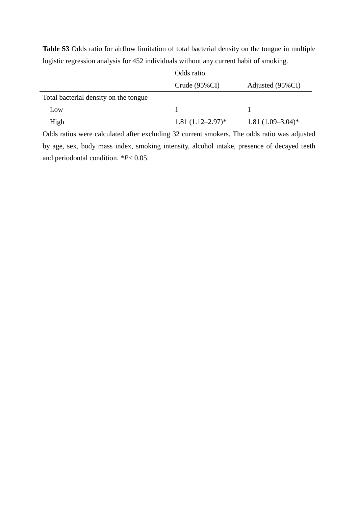|                                       | Odds ratio          |                     |
|---------------------------------------|---------------------|---------------------|
|                                       | Crude $(95\%CI)$    | Adjusted (95%CI)    |
| Total bacterial density on the tongue |                     |                     |
| Low                                   |                     |                     |
| High                                  | $1.81(1.12-2.97)^*$ | $1.81(1.09-3.04)$ * |

**Table S3** Odds ratio for airflow limitation of total bacterial density on the tongue in multiple logistic regression analysis for 452 individuals without any current habit of smoking.

Odds ratios were calculated after excluding 32 current smokers. The odds ratio was adjusted by age, sex, body mass index, smoking intensity, alcohol intake, presence of decayed teeth and periodontal condition. \**P*< 0.05.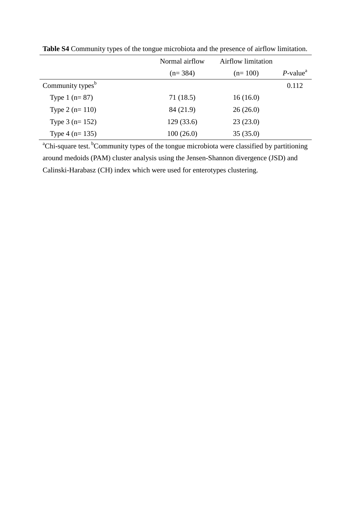|                              | Normal airflow | <b>Airflow limitation</b> |                         |
|------------------------------|----------------|---------------------------|-------------------------|
|                              | $(n=384)$      | $(n=100)$                 | $P$ -value <sup>a</sup> |
| Community types <sup>b</sup> |                |                           | 0.112                   |
| Type $1$ (n= 87)             | 71(18.5)       | 16(16.0)                  |                         |
| Type $2(n=110)$              | 84 (21.9)      | 26(26.0)                  |                         |
| Type $3$ (n= 152)            | 129(33.6)      | 23(23.0)                  |                         |
| Type $4$ (n= 135)            | 100(26.0)      | 35(35.0)                  |                         |

**Table S4** Community types of the tongue microbiota and the presence of airflow limitation.

<sup>a</sup>Chi-square test. <sup>b</sup>Community types of the tongue microbiota were classified by partitioning around medoids (PAM) cluster analysis using the Jensen-Shannon divergence (JSD) and Calinski-Harabasz (CH) index which were used for enterotypes clustering.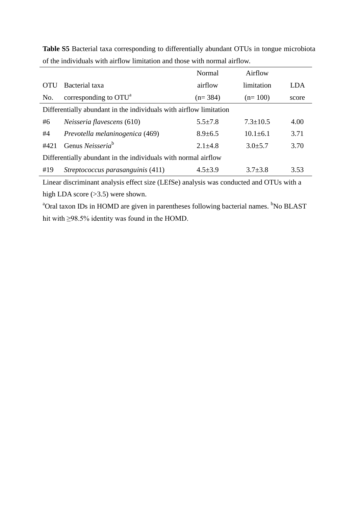|                                                                    |                                   | Normal        | Airflow        |       |
|--------------------------------------------------------------------|-----------------------------------|---------------|----------------|-------|
| OTU                                                                | Bacterial taxa                    | airflow       | limitation     | LDA   |
| No.                                                                | corresponding to $OTUa$           | $(n=384)$     | $(n=100)$      | score |
| Differentially abundant in the individuals with airflow limitation |                                   |               |                |       |
| #6                                                                 | <i>Neisseria flavescens</i> (610) | $5.5 \pm 7.8$ | $7.3 + 10.5$   | 4.00  |
| #4                                                                 | Prevotella melaninogenica (469)   | $8.9 \pm 6.5$ | $10.1 \pm 6.1$ | 3.71  |
| #421                                                               | Genus Neisseria <sup>b</sup>      | $2.1 \pm 4.8$ | $3.0 \pm 5.7$  | 3.70  |
| Differentially abundant in the individuals with normal airflow     |                                   |               |                |       |
| #19                                                                | Streptococcus parasanguinis (411) | $4.5 \pm 3.9$ | $3.7 \pm 3.8$  | 3.53  |

**Table S5** Bacterial taxa corresponding to differentially abundant OTUs in tongue microbiota of the individuals with airflow limitation and those with normal airflow.

Linear discriminant analysis effect size (LEfSe) analysis was conducted and OTUs with a high LDA score (>3.5) were shown.

<sup>a</sup>Oral taxon IDs in HOMD are given in parentheses following bacterial names. <sup>b</sup>No BLAST hit with ≥98.5% identity was found in the HOMD.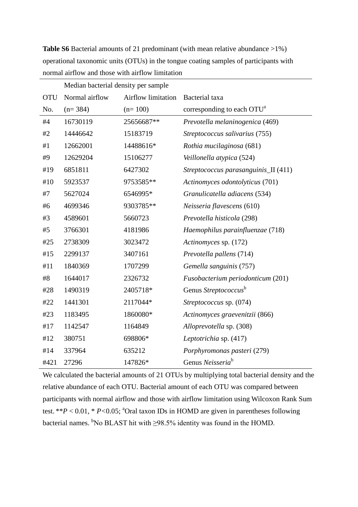|            | Median bacterial density per sample |                    |                                        |
|------------|-------------------------------------|--------------------|----------------------------------------|
| <b>OTU</b> | Normal airflow                      | Airflow limitation | Bacterial taxa                         |
| No.        | $(n=384)$                           | $(n=100)$          | corresponding to each OTU <sup>a</sup> |
| #4         | 16730119                            | 25656687**         | Prevotella melaninogenica (469)        |
| #2         | 14446642                            | 15183719           | Streptococcus salivarius (755)         |
| #1         | 12662001                            | 14488616*          | Rothia mucilaginosa (681)              |
| #9         | 12629204                            | 15106277           | Veillonella atypica (524)              |
| #19        | 6851811                             | 6427302            | Streptococcus parasanguinis_II (411)   |
| #10        | 5923537                             | 9753585**          | Actinomyces odontolyticus (701)        |
| #7         | 5627024                             | 6546995*           | Granulicatella adiacens (534)          |
| #6         | 4699346                             | 9303785**          | Neisseria flavescens (610)             |
| #3         | 4589601                             | 5660723            | Prevotella histicola (298)             |
| #5         | 3766301                             | 4181986            | Haemophilus parainfluenzae (718)       |
| #25        | 2738309                             | 3023472            | Actinomyces sp. (172)                  |
| #15        | 2299137                             | 3407161            | Prevotella pallens (714)               |
| #11        | 1840369                             | 1707299            | Gemella sanguinis (757)                |
| #8         | 1644017                             | 2326732            | Fusobacterium periodonticum (201)      |
| #28        | 1490319                             | 2405718*           | Genus Streptococcus <sup>b</sup>       |
| #22        | 1441301                             | 2117044*           | Streptococcus sp. (074)                |
| #23        | 1183495                             | 1860080*           | Actinomyces graevenitzii (866)         |
| #17        | 1142547                             | 1164849            | Alloprevotella sp. (308)               |
| #12        | 380751                              | 698806*            | Leptotrichia sp. (417)                 |
| #14        | 337964                              | 635212             | Porphyromonas pasteri (279)            |
| #421       | 27296                               | 147826*            | Genus Neisseria <sup>b</sup>           |

**Table S6** Bacterial amounts of 21 predominant (with mean relative abundance >1%) operational taxonomic units (OTUs) in the tongue coating samples of participants with normal airflow and those with airflow limitation

We calculated the bacterial amounts of 21 OTUs by multiplying total bacterial density and the relative abundance of each OTU. Bacterial amount of each OTU was compared between participants with normal airflow and those with airflow limitation using Wilcoxon Rank Sum test. \*\* $P < 0.01$ , \*  $P < 0.05$ ; <sup>a</sup>Oral taxon IDs in HOMD are given in parentheses following bacterial names. <sup>b</sup>No BLAST hit with  $\geq$ 98.5% identity was found in the HOMD.